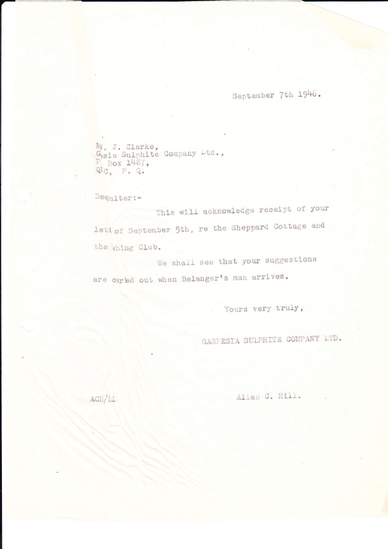September 7th 1946.

M. J. Clarke,<br>Gsia Sulphite Company Ltd.,<br>F Box 1467,<br>Qtc, P. Q.

Deaalter:-

This will acknowledge receipt of your lett of September 5th, re the Sheppard Cottage and the thing Club.

We shall see that your suggestions are cared out when Belanger's man arrives.

Yours very truly,

GASPESIA SULPHITE COMPANY LTD.

Allan C. Hill.

ACH/LL